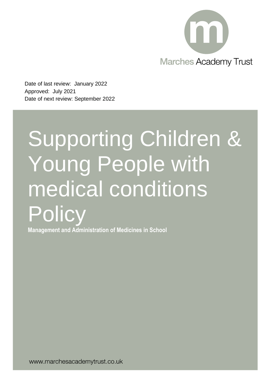

Date of last review: January 2022 Approved: July 2021 Date of next review: September 2022

# Supporting Children & Young People with medical conditions **Policy**

**Management and Administration of Medicines in School**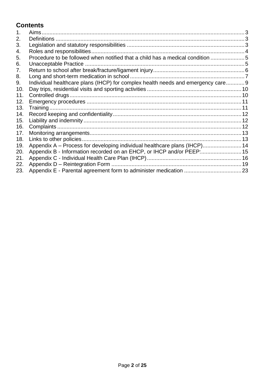# **Contents**

| 1.  | Aims.                                                                           |  |
|-----|---------------------------------------------------------------------------------|--|
| 2.  |                                                                                 |  |
| 3.  |                                                                                 |  |
| 4.  |                                                                                 |  |
| 5.  | Procedure to be followed when notified that a child has a medical condition 5   |  |
| 6.  |                                                                                 |  |
| 7.  |                                                                                 |  |
| 8.  |                                                                                 |  |
| 9.  | Individual healthcare plans (IHCP) for complex health needs and emergency care9 |  |
| 10. |                                                                                 |  |
| 11. |                                                                                 |  |
| 12. |                                                                                 |  |
| 13. |                                                                                 |  |
| 14. |                                                                                 |  |
| 15. |                                                                                 |  |
| 16. |                                                                                 |  |
| 17. |                                                                                 |  |
| 18. |                                                                                 |  |
| 19. | Appendix A - Process for developing individual healthcare plans (IHCP) 14       |  |
| 20. |                                                                                 |  |
| 21. |                                                                                 |  |
| 22. |                                                                                 |  |
| 23. |                                                                                 |  |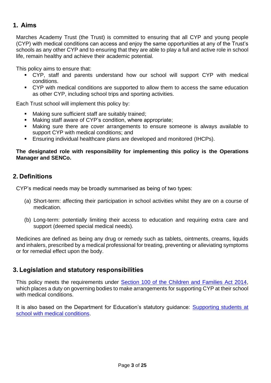# <span id="page-2-0"></span>**1. Aims**

Marches Academy Trust (the Trust) is committed to ensuring that all CYP and young people (CYP) with medical conditions can access and enjoy the same opportunities at any of the Trust's schools as any other CYP and to ensuring that they are able to play a full and active role in school life, remain healthy and achieve their academic potential.

This policy aims to ensure that:

- CYP, staff and parents understand how our school will support CYP with medical conditions.
- CYP with medical conditions are supported to allow them to access the same education as other CYP, including school trips and sporting activities.

Each Trust school will implement this policy by:

- Making sure sufficient staff are suitably trained;
- Making staff aware of CYP's condition, where appropriate;
- Making sure there are cover arrangements to ensure someone is always available to support CYP with medical conditions; and
- Ensuring individual healthcare plans are developed and monitored (IHCPs).

#### **The designated role with responsibility for implementing this policy is the Operations Manager and SENCo.**

# <span id="page-2-1"></span>**2. Definitions**

CYP's medical needs may be broadly summarised as being of two types:

- (a) Short-term: affecting their participation in school activities whilst they are on a course of medication.
- (b) Long-term: potentially limiting their access to education and requiring extra care and support (deemed special medical needs).

Medicines are defined as being any drug or remedy such as tablets, ointments, creams, liquids and inhalers, prescribed by a medical professional for treating, preventing or alleviating symptoms or for remedial effect upon the body.

# <span id="page-2-2"></span>**3. Legislation and statutory responsibilities**

This policy meets the requirements under [Section 100 of the Children and Families Act 2014,](http://www.legislation.gov.uk/ukpga/2014/6/part/5/crossheading/pupils-with-medical-conditions) which places a duty on governing bodies to make arrangements for supporting CYP at their school with medical conditions.

It is also based on the Department for Education's statutory guidance: [Supporting students at](https://www.gov.uk/government/uploads/system/uploads/attachment_data/file/484418/supporting-pupils-at-school-with-medical-conditions.pdf)  [school with medical conditions.](https://www.gov.uk/government/uploads/system/uploads/attachment_data/file/484418/supporting-pupils-at-school-with-medical-conditions.pdf)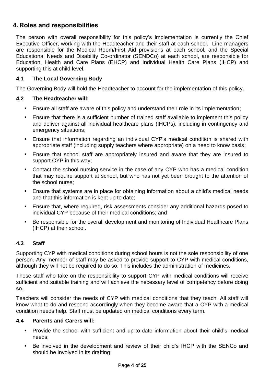# <span id="page-3-0"></span>**4. Roles and responsibilities**

The person with overall responsibility for this policy's implementation is currently the Chief Executive Officer, working with the Headteacher and their staff at each school. Line managers are responsible for the Medical Room/First Aid provisions at each school, and the Special Educational Needs and Disability Co-ordinator (SENDCo) at each school, are responsible for Education, Health and Care Plans (EHCP) and Individual Health Care Plans (IHCP) and supporting this at child level.

## **4.1 The Local Governing Body**

The Governing Body will hold the Headteacher to account for the implementation of this policy.

#### **4.2 The Headteacher will:**

- Ensure all staff are aware of this policy and understand their role in its implementation;
- Ensure that there is a sufficient number of trained staff available to implement this policy and deliver against all individual healthcare plans (IHCPs), including in contingency and emergency situations;
- **E** Ensure that information regarding an individual CYP's medical condition is shared with appropriate staff (including supply teachers where appropriate) on a need to know basis;
- Ensure that school staff are appropriately insured and aware that they are insured to support CYP in this way;
- Contact the school nursing service in the case of any CYP who has a medical condition that may require support at school, but who has not yet been brought to the attention of the school nurse;
- Ensure that systems are in place for obtaining information about a child's medical needs and that this information is kept up to date;
- Ensure that, where required, risk assessments consider any additional hazards posed to individual CYP because of their medical conditions; and
- Be responsible for the overall development and monitoring of Individual Healthcare Plans (IHCP) at their school.

## **4.3 Staff**

Supporting CYP with medical conditions during school hours is not the sole responsibility of one person. Any member of staff may be asked to provide support to CYP with medical conditions, although they will not be required to do so. This includes the administration of medicines.

Those staff who take on the responsibility to support CYP with medical conditions will receive sufficient and suitable training and will achieve the necessary level of competency before doing so.

Teachers will consider the needs of CYP with medical conditions that they teach. All staff will know what to do and respond accordingly when they become aware that a CYP with a medical condition needs help. Staff must be updated on medical conditions every term.

#### **4.4 Parents and Carers will:**

- Provide the school with sufficient and up-to-date information about their child's medical needs;
- Be involved in the development and review of their child's IHCP with the SENCo and should be involved in its drafting;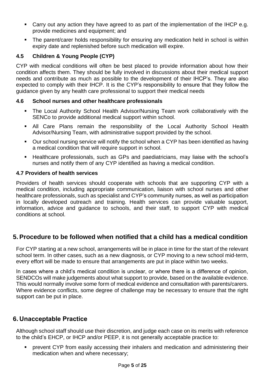- Carry out any action they have agreed to as part of the implementation of the IHCP e.g. provide medicines and equipment; and
- The parent/carer holds responsibility for ensuring any medication held in school is within expiry date and replenished before such medication will expire.

## **4.5 Children & Young People (CYP)**

CYP with medical conditions will often be best placed to provide information about how their condition affects them. They should be fully involved in discussions about their medical support needs and contribute as much as possible to the development of their IHCP's. They are also expected to comply with their IHCP. It is the CYP's responsibility to ensure that they follow the guidance given by any health care professional to support their medical needs

#### **4.6 School nurses and other healthcare professionals**

- **•** The Local Authority School Health Advisor/Nursing Team work collaboratively with the SENCo to provide additional medical support within school.
- **E** All Care Plans remain the responsibility of the Local Authority School Health Advisor/Nursing Team, with administrative support provided by the school.
- Our school nursing service will notify the school when a CYP has been identified as having a medical condition that will require support in school.
- Healthcare professionals, such as GPs and paediatricians, may liaise with the school's nurses and notify them of any CYP identified as having a medical condition.

#### **4.7 Providers of health services**

Providers of health services should cooperate with schools that are supporting CYP with a medical condition, including appropriate communication, liaison with school nurses and other healthcare professionals, such as specialist and CYP's community nurses, as well as participation in locally developed outreach and training. Health services can provide valuable support, information, advice and guidance to schools, and their staff, to support CYP with medical conditions at school.

# <span id="page-4-0"></span>**5. Procedure to be followed when notified that a child has a medical condition**

For CYP starting at a new school, arrangements will be in place in time for the start of the relevant school term. In other cases, such as a new diagnosis, or CYP moving to a new school mid-term, every effort will be made to ensure that arrangements are put in place within two weeks.

In cases where a child's medical condition is unclear, or where there is a difference of opinion, SENDCOs will make judgements about what support to provide, based on the available evidence. This would normally involve some form of medical evidence and consultation with parents/carers. Where evidence conflicts, some degree of challenge may be necessary to ensure that the right support can be put in place.

# <span id="page-4-1"></span>**6. Unacceptable Practice**

Although school staff should use their discretion, and judge each case on its merits with reference to the child's EHCP, or IHCP and/or PEEP, it is not generally acceptable practice to:

prevent CYP from easily accessing their inhalers and medication and administering their medication when and where necessary;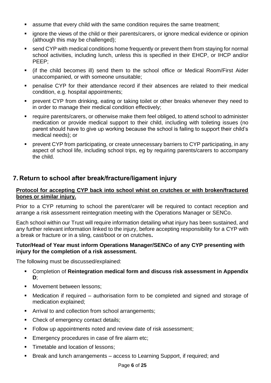- assume that every child with the same condition requires the same treatment;
- ignore the views of the child or their parents/carers, or ignore medical evidence or opinion (although this may be challenged);
- send CYP with medical conditions home frequently or prevent them from staying for normal school activities, including lunch, unless this is specified in their EHCP, or IHCP and/or PEEP;
- (if the child becomes ill) send them to the school office or Medical Room/First Aider unaccompanied, or with someone unsuitable;
- penalise CYP for their attendance record if their absences are related to their medical condition, e.g. hospital appointments;
- prevent CYP from drinking, eating or taking toilet or other breaks whenever they need to in order to manage their medical condition effectively;
- require parents/carers, or otherwise make them feel obliged, to attend school to administer medication or provide medical support to their child, including with toileting issues (no parent should have to give up working because the school is failing to support their child's medical needs); or
- prevent CYP from participating, or create unnecessary barriers to CYP participating, in any aspect of school life, including school trips, eg by requiring parents/carers to accompany the child.

# <span id="page-5-0"></span>**7. Return to school after break/fracture/ligament injury**

#### **Protocol for accepting CYP back into school whist on crutches or with broken/fractured bones or similar injury.**

Prior to a CYP returning to school the parent/carer will be required to contact reception and arrange a risk assessment reintegration meeting with the Operations Manager or SENCo.

Each school within our Trust will require information detailing what injury has been sustained, and any further relevant information linked to the injury, before accepting responsibility for a CYP with a break or fracture or in a sling, cast/boot or on crutches**.**

#### **Tutor/Head of Year must inform Operations Manager/SENCo of any CYP presenting with injury for the completion of a risk assessment.**

The following must be discussed/explained:

- Completion of **Reintegration medical form and discuss risk assessment in Appendix D**;
- Movement between lessons:
- Medication if required authorisation form to be completed and signed and storage of medication explained;
- Arrival to and collection from school arrangements;
- Check of emergency contact details;
- Follow up appointments noted and review date of risk assessment;
- Emergency procedures in case of fire alarm etc;
- **E** Timetable and location of lessons:
- Break and lunch arrangements access to Learning Support, if required; and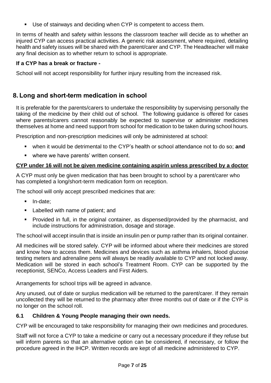■ Use of stairways and deciding when CYP is competent to access them.

In terms of health and safety within lessons the classroom teacher will decide as to whether an injured CYP can access practical activities. A generic risk assessment, where required, detailing health and safety issues will be shared with the parent/carer and CYP. The Headteacher will make any final decision as to whether return to school is appropriate.

## **If a CYP has a break or fracture -**

School will not accept responsibility for further injury resulting from the increased risk.

# <span id="page-6-0"></span>**8. Long and short-term medication in school**

It is preferable for the parents/carers to undertake the responsibility by supervising personally the taking of the medicine by their child out of school. The following guidance is offered for cases where parents/carers cannot reasonably be expected to supervise or administer medicines themselves at home and need support from school for medication to be taken during school hours.

Prescription and non-prescription medicines will only be administered at school:

- when it would be detrimental to the CYP's health or school attendance not to do so; and
- where we have parents' written consent.

## **CYP under 16 will not be given medicine containing aspirin unless prescribed by a doctor**

A CYP must only be given medication that has been brought to school by a parent/carer who has completed a long/short-term medication form on reception.

The school will only accept prescribed medicines that are:

- **·** In-date;
- Labelled with name of patient; and
- Provided in full, in the original container, as dispensed/provided by the pharmacist, and include instructions for administration, dosage and storage.

The school will accept insulin that is inside an insulin pen or pump rather than its original container.

All medicines will be stored safely. CYP will be informed about where their medicines are stored and know how to access them. Medicines and devices such as asthma inhalers, blood glucose testing meters and adrenaline pens will always be readily available to CYP and not locked away. Medication will be stored in each school's Treatment Room. CYP can be supported by the receptionist, SENCo, Access Leaders and First Aiders.

Arrangements for school trips will be agreed in advance.

Any unused, out of date or surplus medication will be returned to the parent/carer. If they remain uncollected they will be returned to the pharmacy after three months out of date or if the CYP is no longer on the school roll.

#### **6.1 Children & Young People managing their own needs.**

CYP will be encouraged to take responsibility for managing their own medicines and procedures.

Staff will not force a CYP to take a medicine or carry out a necessary procedure if they refuse but will inform parents so that an alternative option can be considered, if necessary, or follow the procedure agreed in the IHCP. Written records are kept of all medicine administered to CYP.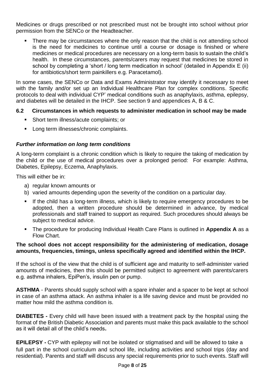Medicines or drugs prescribed or not prescribed must not be brought into school without prior permission from the SENCo or the Headteacher.

There may be circumstances where the only reason that the child is not attending school is the need for medicines to continue until a course or dosage is finished or where medicines or medical procedures are necessary on a long-term basis to sustain the child's health. In these circumstances, parents/carers may request that medicines be stored in school by completing a 'short / long term medication in school' (detailed in Appendix E (ii) for antibiotics/short term painkillers e.g. Paracetamol).

In some cases, the SENCo or Data and Exams Administrator may identify it necessary to meet with the family and/or set up an Individual Healthcare Plan for complex conditions. Specific protocols to deal with individual CYP' medical conditions such as anaphylaxis, asthma, epilepsy, and diabetes will be detailed in the IHCP. See section 9 and appendices A, B & C.

## **6.2 Circumstances in which requests to administer medication in school may be made**

- Short term illness/acute complaints; or
- Long term illnesses/chronic complaints.

#### *Further information on long term conditions*

A long-term complaint is a chronic condition which is likely to require the taking of medication by the child or the use of medical procedures over a prolonged period: For example: Asthma, Diabetes, Epilepsy, Eczema, Anaphylaxis.

This will either be in:

- a) regular known amounts or
- b) varied amounts depending upon the severity of the condition on a particular day.
- If the child has a long-term illness, which is likely to require emergency procedures to be adopted, then a written procedure should be determined in advance, by medical professionals and staff trained to support as required. Such procedures should always be subject to medical advice.
- The procedure for producing Individual Health Care Plans is outlined in **Appendix A** as a Flow Chart.

#### **The school does not accept responsibility for the administering of medication, dosage amounts, frequencies, timings, unless specifically agreed and identified within the IHCP.**

If the school is of the view that the child is of sufficient age and maturity to self-administer varied amounts of medicines, then this should be permitted subject to agreement with parents/carers e.g. asthma inhalers, EpiPen's, insulin pen or pump.

**ASTHMA** - Parents should supply school with a spare inhaler and a spacer to be kept at school in case of an asthma attack. An asthma inhaler is a life saving device and must be provided no matter how mild the asthma condition is.

**DIABETES -** Every child will have been issued with a treatment pack by the hospital using the format of the British Diabetic Association and parents must make this pack available to the school as it will detail all of the child's needs**.**

**EPILEPSY -** CYP with epilepsy will not be isolated or stigmatised and will be allowed to take a full part in the school curriculum and school life, including activities and school trips (day and residential). Parents and staff will discuss any special requirements prior to such events. Staff will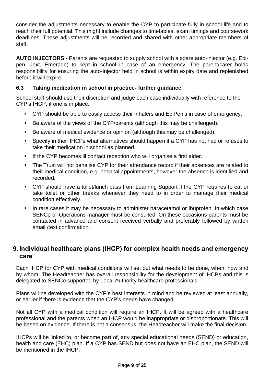consider the adjustments necessary to enable the CYP to participate fully in school life and to reach their full potential. This might include changes to timetables, exam timings and coursework deadlines. These adjustments will be recorded and shared with other appropriate members of staff.

**AUTO INJECTORS -** Parents are requested to supply school with a spare auto-injector (e.g. Epipen, Jext, Emerade) to kept in school in case of an emergency. The parent/carer holds responsibility for ensuring the auto-injector held in school is within expiry date and replenished before it will expire.

## **6.3 Taking medication in school in practice- further guidance.**

School staff should use their discretion and judge each case individually with reference to the CYP's IHCP, if one is in place.

- CYP should be able to easily access their inhalers and EpiPen's in case of emergency.
- Be aware of the views of the CYP/parents (although this may be challenged).
- Be aware of medical evidence or opinion (although this may be challenged).
- Specify in their IHCPs what alternatives should happen if a CYP has not had or refuses to take their medication in school as planned.
- **EXP** If the CYP becomes ill contact reception who will organise a first aider.
- The Trust will not penalise CYP for their attendance record if their absences are related to their medical condition, e.g. hospital appointments, however the absence is identified and recorded.
- CYP should have a toilet/lunch pass from Learning Support if the CYP requires to eat or take toilet or other breaks whenever they need to in order to manage their medical condition effectively.
- In rare cases it may be necessary to administer paracetamol or ibuprofen. In which case SENCo or Operations manager must be consulted. On these occasions parents must be contacted in advance and consent received verbally and preferably followed by written email /text confirmation.

# <span id="page-8-0"></span>**9. Individual healthcare plans (IHCP) for complex health needs and emergency care**

Each IHCP for CYP with medical conditions will set out what needs to be done, when, how and by whom. The Headteacher has overall responsibility for the development of IHCPs and this is delegated to SENCo supported by Local Authority healthcare professionals.

Plans will be developed with the CYP's best interests in mind and be reviewed at least annually, or earlier if there is evidence that the CYP's needs have changed.

Not all CYP with a medical condition will require an IHCP. It will be agreed with a healthcare professional and the parents when an IHCP would be inappropriate or disproportionate. This will be based on evidence. If there is not a consensus, the Headteacher will make the final decision.

IHCPs will be linked to, or become part of, any special educational needs (SEND) or education, health and care (EHC) plan. If a CYP has SEND but does not have an EHC plan, the SEND will be mentioned in the IHCP.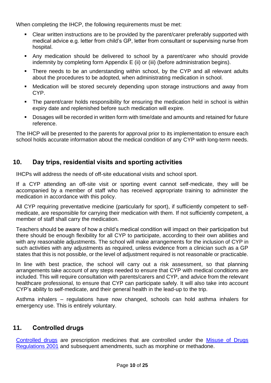When completing the IHCP, the following requirements must be met:

- Clear written instructions are to be provided by the parent/carer preferably supported with medical advice e.g. letter from child's GP, letter from consultant or supervising nurse from hospital.
- Any medication should be delivered to school by a parent/carer who should provide indemnity by completing form Appendix E (ii) or (iii) (before administration begins).
- There needs to be an understanding within school, by the CYP and all relevant adults about the procedures to be adopted, when administrating medication in school.
- Medication will be stored securely depending upon storage instructions and away from CYP.
- **•** The parent/carer holds responsibility for ensuring the medication held in school is within expiry date and replenished before such medication will expire.
- Dosages will be recorded in written form with time/date and amounts and retained for future reference.

The IHCP will be presented to the parents for approval prior to its implementation to ensure each school holds accurate information about the medical condition of any CYP with long-term needs.

# <span id="page-9-0"></span>**10. Day trips, residential visits and sporting activities**

IHCPs will address the needs of off-site educational visits and school sport.

If a CYP attending an off-site visit or sporting event cannot self-medicate, they will be accompanied by a member of staff who has received appropriate training to administer the medication in accordance with this policy.

All CYP requiring preventative medicine (particularly for sport), if sufficiently competent to selfmedicate, are responsible for carrying their medication with them. If not sufficiently competent, a member of staff shall carry the medication.

Teachers should be aware of how a child's medical condition will impact on their participation but there should be enough flexibility for all CYP to participate, according to their own abilities and with any reasonable adjustments. The school will make arrangements for the inclusion of CYP in such activities with any adjustments as required, unless evidence from a clinician such as a GP states that this is not possible, or the level of adjustment required is not reasonable or practicable.

In line with best practice, the school will carry out a risk assessment, so that planning arrangements take account of any steps needed to ensure that CYP with medical conditions are included. This will require consultation with parents/carers and CYP, and advice from the relevant healthcare professional, to ensure that CYP can participate safely. It will also take into account CYP's ability to self-medicate, and their general health in the lead-up to the trip.

Asthma inhalers – regulations have now changed, schools can hold asthma inhalers for emergency use. This is entirely voluntary.

# <span id="page-9-1"></span>**11. Controlled drugs**

[Controlled drugs](http://www.nhs.uk/chq/Pages/1391.aspx?CategoryID=73) are prescription medicines that are controlled under the Misuse of Drugs [Regulations 2001](http://www.legislation.gov.uk/uksi/2001/3998/schedule/1/made) and subsequent amendments, such as morphine or methadone.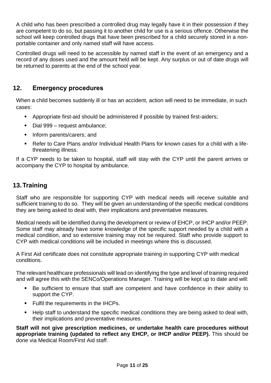A child who has been prescribed a controlled drug may legally have it in their possession if they are competent to do so, but passing it to another child for use is a serious offence. Otherwise the school will keep controlled drugs that have been prescribed for a child securely stored in a nonportable container and only named staff will have access.

Controlled drugs will need to be accessible by named staff in the event of an emergency and a record of any doses used and the amount held will be kept. Any surplus or out of date drugs will be returned to parents at the end of the school year.

# <span id="page-10-0"></span>**12. Emergency procedures**

When a child becomes suddenly ill or has an accident, action will need to be immediate, in such cases:

- Appropriate first-aid should be administered if possible by trained first-aiders;
- Dial 999 request ambulance;
- **·** Inform parents/carers; and
- Refer to Care Plans and/or Individual Health Plans for known cases for a child with a lifethreatening illness.

If a CYP needs to be taken to hospital, staff will stay with the CYP until the parent arrives or accompany the CYP to hospital by ambulance.

# <span id="page-10-1"></span>**13.Training**

Staff who are responsible for supporting CYP with medical needs will receive suitable and sufficient training to do so. They will be given an understanding of the specific medical conditions they are being asked to deal with, their implications and preventative measures.

Medical needs will be identified during the development or review of EHCP, or IHCP and/or PEEP. Some staff may already have some knowledge of the specific support needed by a child with a medical condition, and so extensive training may not be required. Staff who provide support to CYP with medical conditions will be included in meetings where this is discussed.

A First Aid certificate does not constitute appropriate training in supporting CYP with medical conditions.

The relevant healthcare professionals will lead on identifying the type and level of training required and will agree this with the SENCo/Operations Manager. Training will be kept up to date and will:

- Be sufficient to ensure that staff are competent and have confidence in their ability to support the CYP.
- Fulfil the requirements in the IHCPs.
- Help staff to understand the specific medical conditions they are being asked to deal with, their implications and preventative measures.

**Staff will not give prescription medicines, or undertake health care procedures without appropriate training (updated to reflect any EHCP, or IHCP and/or PEEP).** This should be done via Medical Room/First Aid staff.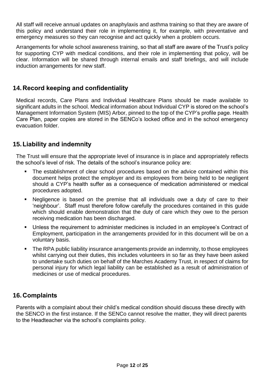All staff will receive annual updates on anaphylaxis and asthma training so that they are aware of this policy and understand their role in implementing it, for example, with preventative and emergency measures so they can recognise and act quickly when a problem occurs.

Arrangements for whole school awareness training, so that all staff are aware of the Trust's policy for supporting CYP with medical conditions, and their role in implementing that policy, will be clear. Information will be shared through internal emails and staff briefings, and will include induction arrangements for new staff.

# <span id="page-11-0"></span>**14.Record keeping and confidentiality**

Medical records, Care Plans and Individual Healthcare Plans should be made available to significant adults in the school. Medical information about Individual CYP is stored on the school's Management Information System (MIS) Arbor, pinned to the top of the CYP's profile page. Health Care Plan, paper copies are stored in the SENCo's locked office and in the school emergency evacuation folder.

# <span id="page-11-1"></span>**15.Liability and indemnity**

The Trust will ensure that the appropriate level of insurance is in place and appropriately reflects the school's level of risk. The details of the school's insurance policy are:

- The establishment of clear school procedures based on the advice contained within this document helps protect the employer and its employees from being held to be negligent should a CYP's health suffer as a consequence of medication administered or medical procedures adopted.
- Negligence is based on the premise that all individuals owe a duty of care to their 'neighbour'. Staff must therefore follow carefully the procedures contained in this guide which should enable demonstration that the duty of care which they owe to the person receiving medication has been discharged.
- Unless the requirement to administer medicines is included in an employee's Contract of Employment, participation in the arrangements provided for in this document will be on a voluntary basis.
- The RPA public liability insurance arrangements provide an indemnity, to those employees whilst carrying out their duties, this includes volunteers in so far as they have been asked to undertake such duties on behalf of the Marches Academy Trust, in respect of claims for personal injury for which legal liability can be established as a result of administration of medicines or use of medical procedures.

# <span id="page-11-2"></span>**16.Complaints**

Parents with a complaint about their child's medical condition should discuss these directly with the SENCO in the first instance. If the SENCo cannot resolve the matter, they will direct parents to the Headteacher via the school's complaints policy.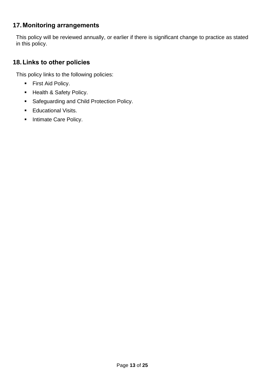# <span id="page-12-0"></span>**17.Monitoring arrangements**

This policy will be reviewed annually, or earlier if there is significant change to practice as stated in this policy.

# <span id="page-12-1"></span>**18.Links to other policies**

This policy links to the following policies:

- First Aid Policy.
- Health & Safety Policy.
- Safeguarding and Child Protection Policy.
- Educational Visits.
- **■** Intimate Care Policy.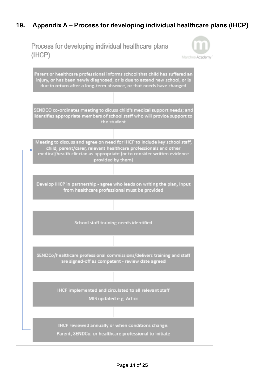# <span id="page-13-0"></span>**19. Appendix A – Process for developing individual healthcare plans (IHCP)**

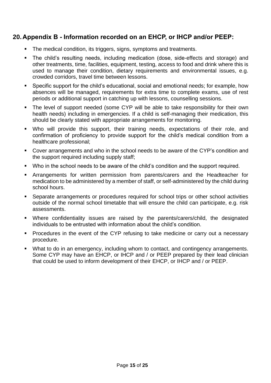# <span id="page-14-0"></span>**20.Appendix B - Information recorded on an EHCP, or IHCP and/or PEEP:**

- The medical condition, its triggers, signs, symptoms and treatments.
- The child's resulting needs, including medication (dose, side-effects and storage) and other treatments, time, facilities, equipment, testing, access to food and drink where this is used to manage their condition, dietary requirements and environmental issues, e.g. crowded corridors, travel time between lessons.
- Specific support for the child's educational, social and emotional needs; for example, how absences will be managed, requirements for extra time to complete exams, use of rest periods or additional support in catching up with lessons, counselling sessions.
- The level of support needed (some CYP will be able to take responsibility for their own health needs) including in emergencies. If a child is self-managing their medication, this should be clearly stated with appropriate arrangements for monitoring.
- Who will provide this support, their training needs, expectations of their role, and confirmation of proficiency to provide support for the child's medical condition from a healthcare professional;
- Cover arrangements and who in the school needs to be aware of the CYP's condition and the support required including supply staff;
- Who in the school needs to be aware of the child's condition and the support required.
- Arrangements for written permission from parents/carers and the Headteacher for medication to be administered by a member of staff, or self-administered by the child during school hours.
- Separate arrangements or procedures required for school trips or other school activities outside of the normal school timetable that will ensure the child can participate, e.g. risk assessments.
- Where confidentiality issues are raised by the parents/carers/child, the designated individuals to be entrusted with information about the child's condition.
- Procedures in the event of the CYP refusing to take medicine or carry out a necessary procedure.
- What to do in an emergency, including whom to contact, and contingency arrangements. Some CYP may have an EHCP, or IHCP and / or PEEP prepared by their lead clinician that could be used to inform development of their EHCP, or IHCP and / or PEEP.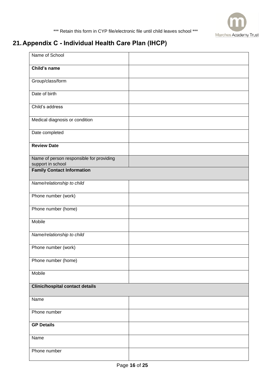

# <span id="page-15-0"></span>**21.Appendix C - Individual Health Care Plan (IHCP)**

| Name of School                                                |  |
|---------------------------------------------------------------|--|
| Child's name                                                  |  |
| Group/class/form                                              |  |
| Date of birth                                                 |  |
| Child's address                                               |  |
| Medical diagnosis or condition                                |  |
| Date completed                                                |  |
| <b>Review Date</b>                                            |  |
| Name of person responsible for providing<br>support in school |  |
| <b>Family Contact Information</b>                             |  |
| Name/relationship to child                                    |  |
| Phone number (work)                                           |  |
| Phone number (home)                                           |  |
| Mobile                                                        |  |
| Name/relationship to child                                    |  |
| Phone number (work)                                           |  |
| Phone number (home)                                           |  |
| Mobile                                                        |  |
| <b>Clinic/hospital contact details</b>                        |  |
| Name                                                          |  |
| Phone number                                                  |  |
| <b>GP Details</b>                                             |  |
| Name                                                          |  |
| Phone number                                                  |  |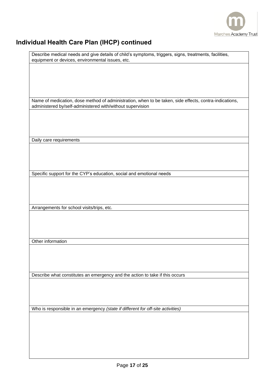

# **Individual Health Care Plan (IHCP) continued**

| Describe medical needs and give details of child's symptoms, triggers, signs, treatments, facilities,  |
|--------------------------------------------------------------------------------------------------------|
| equipment or devices, environmental issues, etc.                                                       |
|                                                                                                        |
|                                                                                                        |
|                                                                                                        |
|                                                                                                        |
|                                                                                                        |
|                                                                                                        |
|                                                                                                        |
|                                                                                                        |
| Name of medication, dose method of administration, when to be taken, side effects, contra-indications, |
|                                                                                                        |
| administered by/self-administered with/without supervision                                             |
|                                                                                                        |
|                                                                                                        |
|                                                                                                        |
|                                                                                                        |
|                                                                                                        |
|                                                                                                        |
|                                                                                                        |
| Daily care requirements                                                                                |
|                                                                                                        |
|                                                                                                        |
|                                                                                                        |
|                                                                                                        |
|                                                                                                        |
|                                                                                                        |
| Specific support for the CYP's education, social and emotional needs                                   |
|                                                                                                        |
|                                                                                                        |
|                                                                                                        |
|                                                                                                        |
|                                                                                                        |
|                                                                                                        |
|                                                                                                        |
| Arrangements for school visits/trips, etc.                                                             |
|                                                                                                        |
|                                                                                                        |
|                                                                                                        |
|                                                                                                        |
|                                                                                                        |
|                                                                                                        |
|                                                                                                        |
| Other information                                                                                      |
|                                                                                                        |
|                                                                                                        |
|                                                                                                        |
|                                                                                                        |
|                                                                                                        |
|                                                                                                        |
| Describe what constitutes an emergency and the action to take if this occurs                           |
|                                                                                                        |
|                                                                                                        |
|                                                                                                        |
|                                                                                                        |
|                                                                                                        |
|                                                                                                        |
|                                                                                                        |
| Who is responsible in an emergency (state if different for off-site activities)                        |
|                                                                                                        |
|                                                                                                        |
|                                                                                                        |
|                                                                                                        |
|                                                                                                        |
|                                                                                                        |
|                                                                                                        |
|                                                                                                        |
|                                                                                                        |
|                                                                                                        |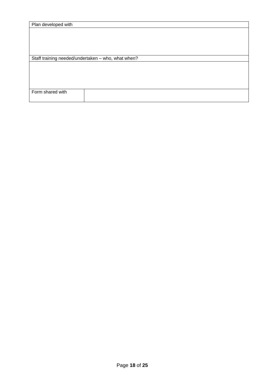| Plan developed with |                                                    |
|---------------------|----------------------------------------------------|
|                     |                                                    |
|                     |                                                    |
|                     |                                                    |
|                     |                                                    |
|                     |                                                    |
|                     |                                                    |
|                     | Staff training needed/undertaken - who, what when? |
|                     |                                                    |
|                     |                                                    |
|                     |                                                    |
|                     |                                                    |
|                     |                                                    |
|                     |                                                    |
| Form shared with    |                                                    |
|                     |                                                    |
|                     |                                                    |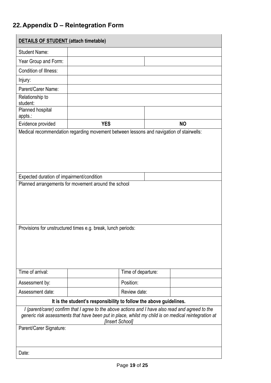# <span id="page-18-0"></span>**22.Appendix D – Reintegration Form**

| <b>DETAILS OF STUDENT (attach timetable)</b>                                                                                                                                                                                                            |                    |           |  |  |
|---------------------------------------------------------------------------------------------------------------------------------------------------------------------------------------------------------------------------------------------------------|--------------------|-----------|--|--|
| <b>Student Name:</b>                                                                                                                                                                                                                                    |                    |           |  |  |
| Year Group and Form:                                                                                                                                                                                                                                    |                    |           |  |  |
| Condition of Illness:                                                                                                                                                                                                                                   |                    |           |  |  |
| Injury:                                                                                                                                                                                                                                                 |                    |           |  |  |
| Parent/Carer Name:                                                                                                                                                                                                                                      |                    |           |  |  |
| Relationship to<br>student:                                                                                                                                                                                                                             |                    |           |  |  |
| Planned hospital<br>appts.:                                                                                                                                                                                                                             |                    |           |  |  |
| Evidence provided                                                                                                                                                                                                                                       | <b>YES</b>         | <b>NO</b> |  |  |
| Expected duration of impairment/condition<br>Planned arrangements for movement around the school<br>Provisions for unstructured times e.g. break, lunch periods:                                                                                        |                    |           |  |  |
| Time of arrival:                                                                                                                                                                                                                                        | Time of departure: |           |  |  |
| Assessment by:                                                                                                                                                                                                                                          | Position:          |           |  |  |
| Assessment date:                                                                                                                                                                                                                                        | Review date:       |           |  |  |
| It is the student's responsibility to follow the above guidelines.                                                                                                                                                                                      |                    |           |  |  |
| I (parent/carer) confirm that I agree to the above actions and I have also read and agreed to the<br>generic risk assessments that have been put in place, whilst my child is on medical reintegration at<br>[Insert School]<br>Parent/Carer Signature: |                    |           |  |  |
|                                                                                                                                                                                                                                                         |                    |           |  |  |
| Date:                                                                                                                                                                                                                                                   |                    |           |  |  |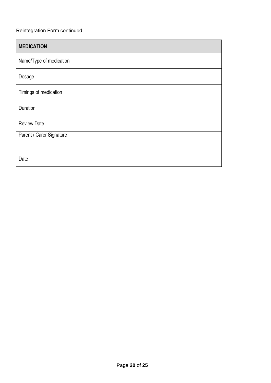#### Reintegration Form continued…

| <b>MEDICATION</b>        |  |  |
|--------------------------|--|--|
| Name/Type of medication  |  |  |
| Dosage                   |  |  |
| Timings of medication    |  |  |
| Duration                 |  |  |
| <b>Review Date</b>       |  |  |
| Parent / Carer Signature |  |  |
| Date                     |  |  |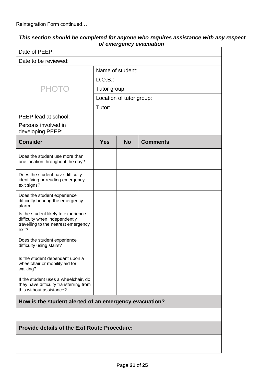Reintegration Form continued…

| This section should be completed for anyone who requires assistance with any respect |  |
|--------------------------------------------------------------------------------------|--|
| of emergency evacuation.                                                             |  |

|                                                                                                                      |                  |                          | or emergency evacuation. |  |
|----------------------------------------------------------------------------------------------------------------------|------------------|--------------------------|--------------------------|--|
| Date of PEEP:                                                                                                        |                  |                          |                          |  |
| Date to be reviewed:                                                                                                 |                  |                          |                          |  |
|                                                                                                                      | Name of student: |                          |                          |  |
|                                                                                                                      | D.O.B.:          |                          |                          |  |
| <b>PHOTO</b>                                                                                                         | Tutor group:     |                          |                          |  |
|                                                                                                                      |                  | Location of tutor group: |                          |  |
|                                                                                                                      | Tutor:           |                          |                          |  |
| PEEP lead at school:                                                                                                 |                  |                          |                          |  |
| Persons involved in<br>developing PEEP:                                                                              |                  |                          |                          |  |
| <b>Consider</b>                                                                                                      | <b>Yes</b>       | <b>No</b>                | <b>Comments</b>          |  |
| Does the student use more than<br>one location throughout the day?                                                   |                  |                          |                          |  |
| Does the student have difficulty<br>identifying or reading emergency<br>exit signs?                                  |                  |                          |                          |  |
| Does the student experience<br>difficulty hearing the emergency<br>alarm                                             |                  |                          |                          |  |
| Is the student likely to experience<br>difficulty when independently<br>travelling to the nearest emergency<br>exit? |                  |                          |                          |  |
| Does the student experience<br>difficulty using stairs?                                                              |                  |                          |                          |  |
| Is the student dependant upon a<br>wheelchair or mobility aid for<br>walking?                                        |                  |                          |                          |  |
| If the student uses a wheelchair, do<br>they have difficulty transferring from<br>this without assistance?           |                  |                          |                          |  |
| How is the student alerted of an emergency evacuation?                                                               |                  |                          |                          |  |
|                                                                                                                      |                  |                          |                          |  |
| <b>Provide details of the Exit Route Procedure:</b>                                                                  |                  |                          |                          |  |
|                                                                                                                      |                  |                          |                          |  |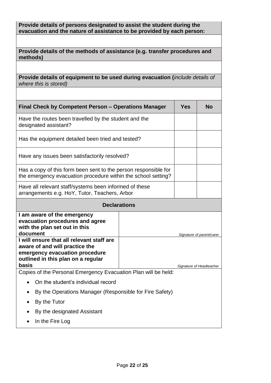#### **Provide details of persons designated to assist the student during the evacuation and the nature of assistance to be provided by each person:**

|          | Provide details of the methods of assistance (e.g. transfer procedures and |  |
|----------|----------------------------------------------------------------------------|--|
| methods) |                                                                            |  |

**Provide details of equipment to be used during evacuation (***include details of where this is stored)*

| Final Check by Competent Person – Operations Manager                                                                                                         |                     | <b>Yes</b> | <b>No</b>                 |  |  |
|--------------------------------------------------------------------------------------------------------------------------------------------------------------|---------------------|------------|---------------------------|--|--|
| Have the routes been travelled by the student and the<br>designated assistant?                                                                               |                     |            |                           |  |  |
| Has the equipment detailed been tried and tested?                                                                                                            |                     |            |                           |  |  |
| Have any issues been satisfactorily resolved?                                                                                                                |                     |            |                           |  |  |
| Has a copy of this form been sent to the person responsible for<br>the emergency evacuation procedure within the school setting?                             |                     |            |                           |  |  |
| Have all relevant staff/systems been informed of these<br>arrangements e.g. HoY, Tutor, Teachers, Arbor                                                      |                     |            |                           |  |  |
|                                                                                                                                                              | <b>Declarations</b> |            |                           |  |  |
| I am aware of the emergency<br>evacuation procedures and agree<br>with the plan set out in this<br>document                                                  |                     |            | Signature of parent/carer |  |  |
| I will ensure that all relevant staff are<br>aware of and will practice the<br>emergency evacuation procedure<br>outlined in this plan on a regular<br>basis |                     |            |                           |  |  |
| Signature of Headteacher<br>Copies of the Personal Emergency Evacuation Plan will be held:                                                                   |                     |            |                           |  |  |
|                                                                                                                                                              |                     |            |                           |  |  |
| On the student's individual record                                                                                                                           |                     |            |                           |  |  |
| By the Operations Manager (Responsible for Fire Safety)                                                                                                      |                     |            |                           |  |  |
| $D_{11}$ , that $T_{11}$ , the $\alpha$                                                                                                                      |                     |            |                           |  |  |

- By the Tutor
- By the designated Assistant
- In the Fire Log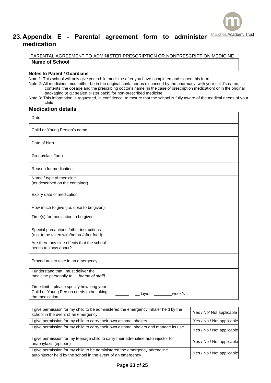

# <span id="page-22-0"></span>**23.Appendix E - Parental agreement form to administer medication**

PARENTAL AGREEMENT TO ADMINISTER PRESCRIPTION OR NONPRESCRIPTION MEDICINE **Name of School** 

#### **Notes to Parent / Guardians**

Note 1: This school will only give your child medicine after you have completed and signed this form.

Note 2: All medicines must either be in the original container as dispensed by the pharmacy, with your child's name, its contents, the dosage and the prescribing doctor's name (in the case of prescription medication) or in the original packaging (e.g.: sealed blister pack) for non-prescribed medicine.

Note 3: This information is requested, in confidence, to ensure that the school is fully aware of the medical needs of your child.

#### **Medication details**

| Date                                                                                                    |                 |
|---------------------------------------------------------------------------------------------------------|-----------------|
| Child or Young Person's name                                                                            |                 |
| Date of birth                                                                                           |                 |
| Group/class/form                                                                                        |                 |
| Reason for medication                                                                                   |                 |
| Name / type of medicine<br>(as described on the container)                                              |                 |
| Expiry date of medication                                                                               |                 |
| How much to give (i.e. dose to be given)                                                                |                 |
| Time(s) for medication to be given                                                                      |                 |
| Special precautions /other instructions<br>(e.g. to be taken with/before/after food)                    |                 |
| Are there any side effects that the school<br>needs to know about?                                      |                 |
| Procedures to take in an emergency                                                                      |                 |
| I understand that I must deliver the<br>medicine personally to  [name of staff]                         |                 |
| Time limit - please specify how long your<br>Child or Young Person needs to be taking<br>the medication | week/s<br>day/s |

| I give permission for my child to be administered the emergency inhaler held by the<br>school in the event of an emergency                 | Yes / No/ Not applicable  |
|--------------------------------------------------------------------------------------------------------------------------------------------|---------------------------|
| give permission for my child to carry their own asthma inhalers                                                                            | Yes / No / Not applicable |
| I give permission for my child to carry their own asthma inhalers and manage its use                                                       | Yes / No / Not applicable |
| I give permission for my teenage child to carry their adrenaline auto injector for<br>anaphylaxis (epi pen)                                | Yes / No / Not applicable |
| I give permission for my child to be administered the emergency adrenaline<br>autoinjector held by the school in the event of an emergency | Yes / No / Not applicable |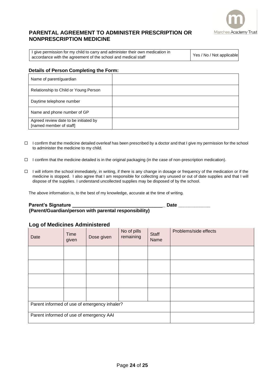

#### **PARENTAL AGREEMENT TO ADMINISTER PRESCRIPTION OR NONPRESCRIPTION MEDICINE**

I give permission for my child to carry and administer their own medication in accordance with the agreement of the school and medical staff  $\left\{ \frac{\text{Yes}}{\text{Yes}} \right\}$  Yes / No / Not applicable

#### **Details of Person Completing the Form:**

| Name of parent/guardian                                          |  |
|------------------------------------------------------------------|--|
| Relationship to Child or Young Person                            |  |
| Daytime telephone number                                         |  |
| Name and phone number of GP                                      |  |
| Agreed review date to be initiated by<br>[named member of staff] |  |

- $\Box$  I confirm that the medicine detailed overleaf has been prescribed by a doctor and that I give my permission for the school to administer the medicine to my child.
- $\Box$  I confirm that the medicine detailed is in the original packaging (in the case of non-prescription medication).
- □ I will inform the school immediately, in writing, if there is any change in dosage or frequency of the medication or if the medicine is stopped. I also agree that I am responsible for collecting any unused or out of date supplies and that I will dispose of the supplies. I understand uncollected supplies may be disposed of by the school.

The above information is, to the best of my knowledge, accurate at the time of writing.

#### Parent's Signature **Date 2018**

**(Parent/Guardian/person with parental responsibility)**

#### **Log of Medicines Administered**

| Date                                         | Time<br>given | Dose given | No of pills<br>remaining | <b>Staff</b><br>Name | Problems/side effects |
|----------------------------------------------|---------------|------------|--------------------------|----------------------|-----------------------|
|                                              |               |            |                          |                      |                       |
|                                              |               |            |                          |                      |                       |
|                                              |               |            |                          |                      |                       |
|                                              |               |            |                          |                      |                       |
| Parent informed of use of emergency inhaler? |               |            |                          |                      |                       |
| Parent informed of use of emergency AAI      |               |            |                          |                      |                       |